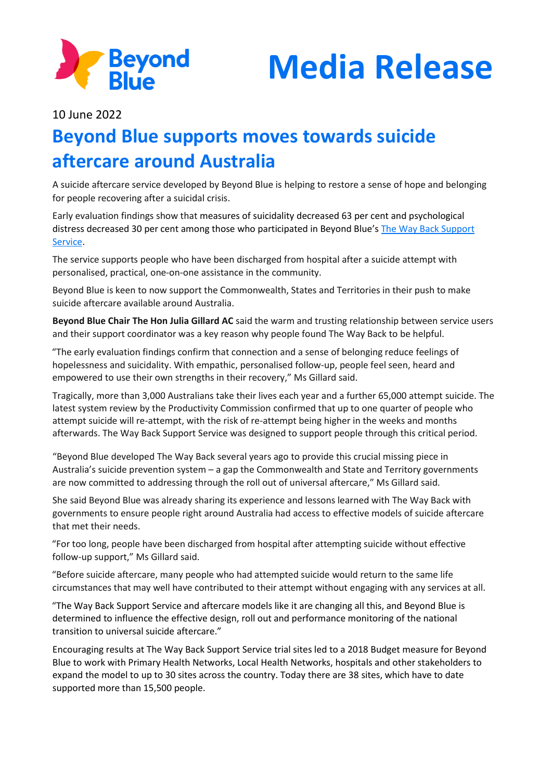



10 June 2022

## **Beyond Blue supports moves towards suicide aftercare around Australia**

A suicide aftercare service developed by Beyond Blue is helping to restore a sense of hope and belonging for people recovering after a suicidal crisis.

Early evaluation findings show that measures of suicidality decreased 63 per cent and psychological distress decreased 30 per cent among those who participated in Beyond Blue's [The Way Back Support](https://www.beyondblue.org.au/the-facts/suicide-prevention/after-a-suicide-attempt/the-way-back-support-service)  [Service.](https://www.beyondblue.org.au/the-facts/suicide-prevention/after-a-suicide-attempt/the-way-back-support-service)

The service supports people who have been discharged from hospital after a suicide attempt with personalised, practical, one-on-one assistance in the community.

Beyond Blue is keen to now support the Commonwealth, States and Territories in their push to make suicide aftercare available around Australia.

**Beyond Blue Chair The Hon Julia Gillard AC** said the warm and trusting relationship between service users and their support coordinator was a key reason why people found The Way Back to be helpful.

"The early evaluation findings confirm that connection and a sense of belonging reduce feelings of hopelessness and suicidality. With empathic, personalised follow-up, people feel seen, heard and empowered to use their own strengths in their recovery," Ms Gillard said.

Tragically, more than 3,000 Australians take their lives each year and a further 65,000 attempt suicide. The latest system review by the Productivity Commission confirmed that up to one quarter of people who attempt suicide will re-attempt, with the risk of re-attempt being higher in the weeks and months afterwards. The Way Back Support Service was designed to support people through this critical period.

"Beyond Blue developed The Way Back several years ago to provide this crucial missing piece in Australia's suicide prevention system – a gap the Commonwealth and State and Territory governments are now committed to addressing through the roll out of universal aftercare," Ms Gillard said.

She said Beyond Blue was already sharing its experience and lessons learned with The Way Back with governments to ensure people right around Australia had access to effective models of suicide aftercare that met their needs.

"For too long, people have been discharged from hospital after attempting suicide without effective follow-up support," Ms Gillard said.

"Before suicide aftercare, many people who had attempted suicide would return to the same life circumstances that may well have contributed to their attempt without engaging with any services at all.

"The Way Back Support Service and aftercare models like it are changing all this, and Beyond Blue is determined to influence the effective design, roll out and performance monitoring of the national transition to universal suicide aftercare."

Encouraging results at The Way Back Support Service trial sites led to a 2018 Budget measure for Beyond Blue to work with Primary Health Networks, Local Health Networks, hospitals and other stakeholders to expand the model to up to 30 sites across the country. Today there are 38 sites, which have to date supported more than 15,500 people.